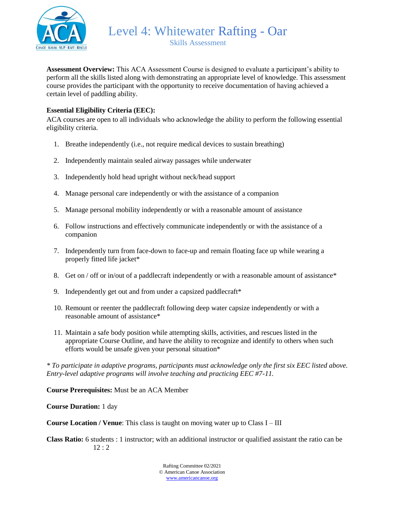

Level 4: Whitewater Rafting - Oar Skills Assessment

**Assessment Overview:** This ACA Assessment Course is designed to evaluate a participant's ability to perform all the skills listed along with demonstrating an appropriate level of knowledge. This assessment course provides the participant with the opportunity to receive documentation of having achieved a certain level of paddling ability.

### **Essential Eligibility Criteria (EEC):**

ACA courses are open to all individuals who acknowledge the ability to perform the following essential eligibility criteria.

- 1. Breathe independently (i.e., not require medical devices to sustain breathing)
- 2. Independently maintain sealed airway passages while underwater
- 3. Independently hold head upright without neck/head support
- 4. Manage personal care independently or with the assistance of a companion
- 5. Manage personal mobility independently or with a reasonable amount of assistance
- 6. Follow instructions and effectively communicate independently or with the assistance of a companion
- 7. Independently turn from face-down to face-up and remain floating face up while wearing a properly fitted life jacket\*
- 8. Get on / off or in/out of a paddlecraft independently or with a reasonable amount of assistance\*
- 9. Independently get out and from under a capsized paddlecraft\*
- 10. Remount or reenter the paddlecraft following deep water capsize independently or with a reasonable amount of assistance\*
- 11. Maintain a safe body position while attempting skills, activities, and rescues listed in the appropriate Course Outline, and have the ability to recognize and identify to others when such efforts would be unsafe given your personal situation\*

*\* To participate in adaptive programs, participants must acknowledge only the first six EEC listed above. Entry-level adaptive programs will involve teaching and practicing EEC #7-11.*

**Course Prerequisites:** Must be an ACA Member

**Course Duration:** 1 day

**Course Location / Venue**: This class is taught on moving water up to Class I – III

**Class Ratio:** 6 students : 1 instructor; with an additional instructor or qualified assistant the ratio can be 12 : 2

> Rafting Committee 02/2021 © American Canoe Association [www.americancanoe.org](http://www.americancanoe.org/)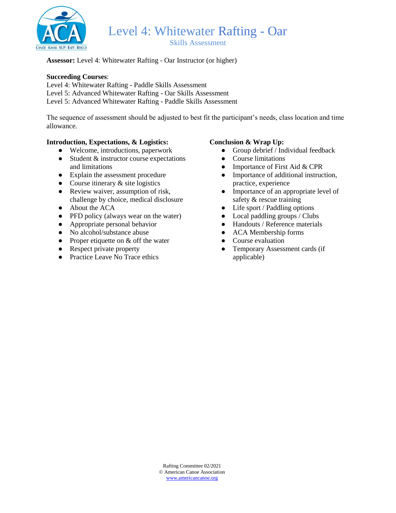

Skills Assessment

### **Assessor:** Level 4: Whitewater Rafting - Oar Instructor (or higher)

#### **Succeeding Courses**:

Level 4: Whitewater Rafting - Paddle Skills Assessment

Level 5: Advanced Whitewater Rafting - Oar Skills Assessment

Level 5: Advanced Whitewater Rafting - Paddle Skills Assessment

The sequence of assessment should be adjusted to best fit the participant's needs, class location and time allowance.

### **Introduction, Expectations, & Logistics:**

- Welcome, introductions, paperwork
- $\bullet$  Student & instructor course expectations and limitations
- Explain the assessment procedure
- Course itinerary  $&$  site logistics
- Review waiver, assumption of risk, challenge by choice, medical disclosure
- About the ACA
- PFD policy (always wear on the water)
- Appropriate personal behavior
- No alcohol/substance abuse
- Proper etiquette on  $&$  off the water
- Respect private property
- Practice Leave No Trace ethics

### **Conclusion & Wrap Up:**

- Group debrief / Individual feedback
- Course limitations
- Importance of First Aid & CPR
- Importance of additional instruction, practice, experience
- Importance of an appropriate level of safety & rescue training
- Life sport / Paddling options
- Local paddling groups / Clubs
- Handouts / Reference materials
- ACA Membership forms
- Course evaluation
- Temporary Assessment cards (if applicable)

Rafting Committee 02/2021 © American Canoe Association [www.americancanoe.org](http://www.americancanoe.org/)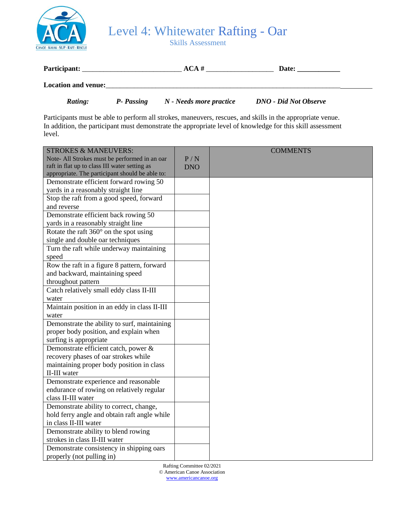

Skills Assessment

| Participant:               | ACA # | <b>Date:</b> |
|----------------------------|-------|--------------|
| <b>Location and venue:</b> |       |              |

*Rating: P- Passing N - Needs more practice DNO - Did Not Observe*

Participants must be able to perform all strokes, maneuvers, rescues, and skills in the appropriate venue. In addition, the participant must demonstrate the appropriate level of knowledge for this skill assessment level.

| <b>STROKES &amp; MANEUVERS:</b>                 |            | <b>COMMENTS</b> |
|-------------------------------------------------|------------|-----------------|
| Note- All Strokes must be performed in an oar   | P/N        |                 |
| raft in flat up to class III water setting as   | <b>DNO</b> |                 |
| appropriate. The participant should be able to: |            |                 |
| Demonstrate efficient forward rowing 50         |            |                 |
| yards in a reasonably straight line             |            |                 |
| Stop the raft from a good speed, forward        |            |                 |
| and reverse                                     |            |                 |
| Demonstrate efficient back rowing 50            |            |                 |
| yards in a reasonably straight line             |            |                 |
| Rotate the raft $360^\circ$ on the spot using   |            |                 |
| single and double oar techniques                |            |                 |
| Turn the raft while underway maintaining        |            |                 |
| speed                                           |            |                 |
| Row the raft in a figure 8 pattern, forward     |            |                 |
| and backward, maintaining speed                 |            |                 |
| throughout pattern                              |            |                 |
| Catch relatively small eddy class II-III        |            |                 |
| water                                           |            |                 |
| Maintain position in an eddy in class II-III    |            |                 |
| water                                           |            |                 |
| Demonstrate the ability to surf, maintaining    |            |                 |
| proper body position, and explain when          |            |                 |
| surfing is appropriate                          |            |                 |
| Demonstrate efficient catch, power &            |            |                 |
| recovery phases of oar strokes while            |            |                 |
| maintaining proper body position in class       |            |                 |
| II-III water                                    |            |                 |
| Demonstrate experience and reasonable           |            |                 |
| endurance of rowing on relatively regular       |            |                 |
| class II-III water                              |            |                 |
| Demonstrate ability to correct, change,         |            |                 |
| hold ferry angle and obtain raft angle while    |            |                 |
| in class II-III water                           |            |                 |
| Demonstrate ability to blend rowing             |            |                 |
| strokes in class II-III water                   |            |                 |
| Demonstrate consistency in shipping oars        |            |                 |
| properly (not pulling in)                       |            |                 |

Rafting Committee 02/2021 © American Canoe Association [www.americancanoe.org](http://www.americancanoe.org/)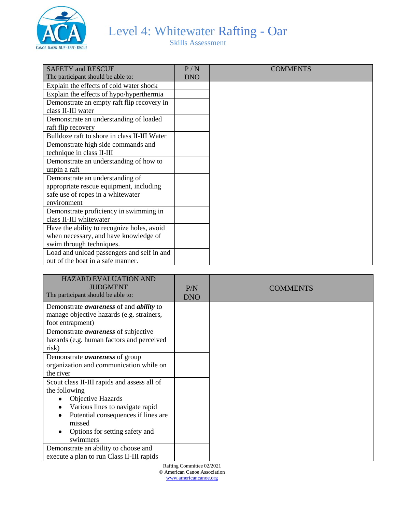

Skills Assessment

| <b>SAFETY and RESCUE</b>                     | P/N        | <b>COMMENTS</b> |
|----------------------------------------------|------------|-----------------|
| The participant should be able to:           | <b>DNO</b> |                 |
| Explain the effects of cold water shock      |            |                 |
| Explain the effects of hypo/hyperthermia     |            |                 |
| Demonstrate an empty raft flip recovery in   |            |                 |
| class II-III water                           |            |                 |
| Demonstrate an understanding of loaded       |            |                 |
| raft flip recovery                           |            |                 |
| Bulldoze raft to shore in class II-III Water |            |                 |
| Demonstrate high side commands and           |            |                 |
| technique in class II-III                    |            |                 |
| Demonstrate an understanding of how to       |            |                 |
| unpin a raft                                 |            |                 |
| Demonstrate an understanding of              |            |                 |
| appropriate rescue equipment, including      |            |                 |
| safe use of ropes in a whitewater            |            |                 |
| environment                                  |            |                 |
| Demonstrate proficiency in swimming in       |            |                 |
| class II-III whitewater                      |            |                 |
| Have the ability to recognize holes, avoid   |            |                 |
| when necessary, and have knowledge of        |            |                 |
| swim through techniques.                     |            |                 |
| Load and unload passengers and self in and   |            |                 |
| out of the boat in a safe manner.            |            |                 |

| <b>HAZARD EVALUATION AND</b><br><b>JUDGMENT</b><br>The participant should be able to:                                                                                                                                      | P/N<br><b>DNO</b> | <b>COMMENTS</b> |
|----------------------------------------------------------------------------------------------------------------------------------------------------------------------------------------------------------------------------|-------------------|-----------------|
| Demonstrate <i>awareness</i> of and <i>ability</i> to<br>manage objective hazards (e.g. strainers,<br>foot entrapment)                                                                                                     |                   |                 |
| Demonstrate <i>awareness</i> of subjective<br>hazards (e.g. human factors and perceived<br>risk)                                                                                                                           |                   |                 |
| Demonstrate <i>awareness</i> of group<br>organization and communication while on<br>the river                                                                                                                              |                   |                 |
| Scout class II-III rapids and assess all of<br>the following<br><b>Objective Hazards</b><br>Various lines to navigate rapid<br>Potential consequences if lines are<br>missed<br>Options for setting safety and<br>swimmers |                   |                 |
| Demonstrate an ability to choose and<br>execute a plan to run Class II-III rapids                                                                                                                                          |                   |                 |